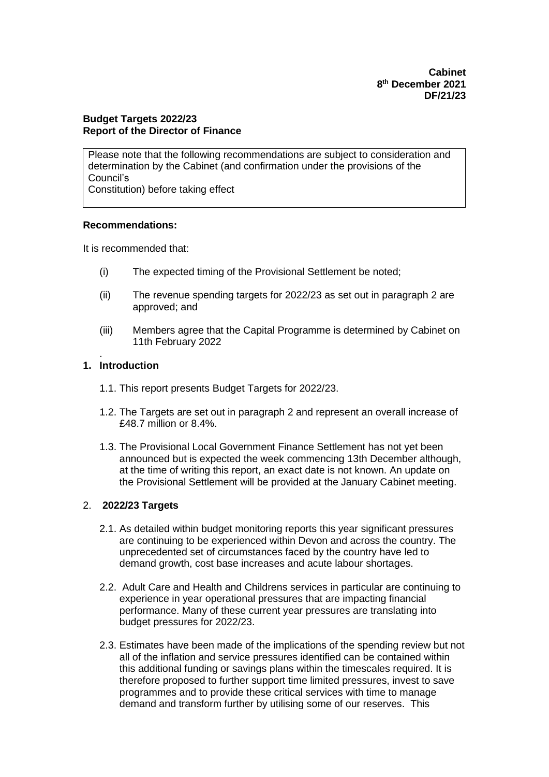**Cabinet 8 th December 2021 DF/21/23**

## **Budget Targets 2022/23 Report of the Director of Finance**

Please note that the following recommendations are subject to consideration and determination by the Cabinet (and confirmation under the provisions of the Council's Constitution) before taking effect

#### **Recommendations:**

It is recommended that:

- (i) The expected timing of the Provisional Settlement be noted;
- (ii) The revenue spending targets for 2022/23 as set out in paragraph 2 are approved; and
- (iii) Members agree that the Capital Programme is determined by Cabinet on 11th February 2022

## **1. Introduction**

.

- 1.1. This report presents Budget Targets for 2022/23.
- 1.2. The Targets are set out in paragraph 2 and represent an overall increase of £48.7 million or 8.4%.
- 1.3. The Provisional Local Government Finance Settlement has not yet been announced but is expected the week commencing 13th December although, at the time of writing this report, an exact date is not known. An update on the Provisional Settlement will be provided at the January Cabinet meeting.

# 2. **2022/23 Targets**

- 2.1. As detailed within budget monitoring reports this year significant pressures are continuing to be experienced within Devon and across the country. The unprecedented set of circumstances faced by the country have led to demand growth, cost base increases and acute labour shortages.
- 2.2. Adult Care and Health and Childrens services in particular are continuing to experience in year operational pressures that are impacting financial performance. Many of these current year pressures are translating into budget pressures for 2022/23.
- 2.3. Estimates have been made of the implications of the spending review but not all of the inflation and service pressures identified can be contained within this additional funding or savings plans within the timescales required. It is therefore proposed to further support time limited pressures, invest to save programmes and to provide these critical services with time to manage demand and transform further by utilising some of our reserves. This